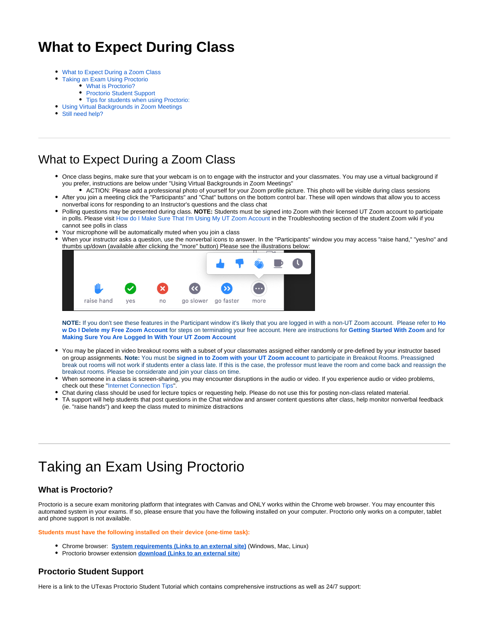## **What to Expect During Class**

- [What to Expect During a Zoom Class](#page-0-0)
- $\bullet$ [Taking an Exam Using Proctorio](#page-0-1)
	- [What is Proctorio?](#page-0-2)
	- [Proctorio Student Support](#page-0-3)
	- [Tips for students when using Proctorio:](#page-1-0)
- [Using Virtual Backgrounds in Zoom Meetings](#page-1-1)
- [Still need help?](#page-1-2)

## <span id="page-0-0"></span>What to Expect During a Zoom Class

- Once class begins, make sure that your webcam is on to engage with the instructor and your classmates. You may use a virtual background if you prefer, instructions are below under "Using Virtual Backgrounds in Zoom Meetings"
- ACTION: Please add a professional photo of yourself for your Zoom profile picture. This photo will be visible during class sessions After you join a meeting click the "Participants" and "Chat" buttons on the bottom control bar. These will open windows that allow you to access
- nonverbal icons for responding to an Instructor's questions and the class chat
- Polling questions may be presented during class. **NOTE:** Students must be signed into Zoom with their licensed UT Zoom account to participate in polls. Please visit [How do I Make Sure That I'm Using My UT Zoom Account](https://wikis.utexas.edu/display/MSBTech/Student+Troubleshooting#StudentTroubleshooting-HowdoImakesureI%27musingmyUTZoomAccount) in the Troubleshooting section of the student Zoom wiki if you cannot see polls in class
- Your microphone will be automatically muted when you join a class
- When your instructor asks a question, use the nonverbal icons to answer. In the "Participants" window you may access "raise hand," "yes/no" and thumbs up/down (available after clicking the "more" button) Please see the illustrations below:



**NOTE:** If you don't see these features in the Participant window it's likely that you are logged in with a non-UT Zoom account. Please refer to **[Ho](https://wikis.utexas.edu/display/MSBTech/Student+Troubleshooting#StudentTroubleshooting-HowDoIDeletemyFreeZoomAccount?) [w Do I Delete my Free Zoom Account](https://wikis.utexas.edu/display/MSBTech/Student+Troubleshooting#StudentTroubleshooting-HowDoIDeletemyFreeZoomAccount?)** for steps on terminating your free account. Here are instructions for **[Getting Started With Zoom](https://wikis.utexas.edu/display/MSBTech/Getting+Started+With+Zoom)** and for **[Making Sure You Are Logged In With Your UT Zoom Account](https://wikis.utexas.edu/display/MSBTech/Student+Troubleshooting#StudentTroubleshooting-HowdoImakesureI%27musingmyUTZoomAccount)**

- You may be placed in video breakout rooms with a subset of your classmates assigned either randomly or pre-defined by your instructor based on group assignments. **Note:** You must be **[signed in to Zoom with your UT Zoom account](https://wikis.utexas.edu/display/MSBTech/Getting+Started+With+Zoom)** to participate in Breakout Rooms. Preassigned break out rooms will not work if students enter a class late. If this is the case, the professor must leave the room and come back and reassign the breakout rooms. Please be considerate and join your class on time.
- When someone in a class is screen-sharing, you may encounter disruptions in the audio or video. If you experience audio or video problems, check out these ["Internet Connection Tips](https://wikis.utexas.edu/display/MSBTech/Internet+Connection+Tips)".
- Chat during class should be used for lecture topics or requesting help. Please do not use this for posting non-class related material.
- TA support will help students that post questions in the Chat window and answer content questions after class, help monitor nonverbal feedback (ie. "raise hands") and keep the class muted to minimize distractions

# <span id="page-0-1"></span>Taking an Exam Using Proctorio

### <span id="page-0-2"></span>**What is Proctorio?**

Proctorio is a secure exam monitoring platform that integrates with Canvas and ONLY works within the Chrome web browser. You may encounter this automated system in your exams. If so, please ensure that you have the following installed on your computer. Proctorio only works on a computer, tablet and phone support is not available.

**Students must have the following installed on their device (one-time task):**

- Chrome browser: **[System requirements \(Links to an external site\)](https://support.google.com/chrome/answer/95346?hl=en&ref_topic=3227046)** (Windows, Mac, Linux)
- **•** Proctorio browser extension **download** [\(Links to an external site](https://chrome.google.com/webstore/detail/proctorio/fpmapakogndmenjcfoajifaaonnkpkei))

#### <span id="page-0-3"></span>**Proctorio Student Support**

Here is a link to the UTexas Proctorio Student Tutorial which contains comprehensive instructions as well as 24/7 support: